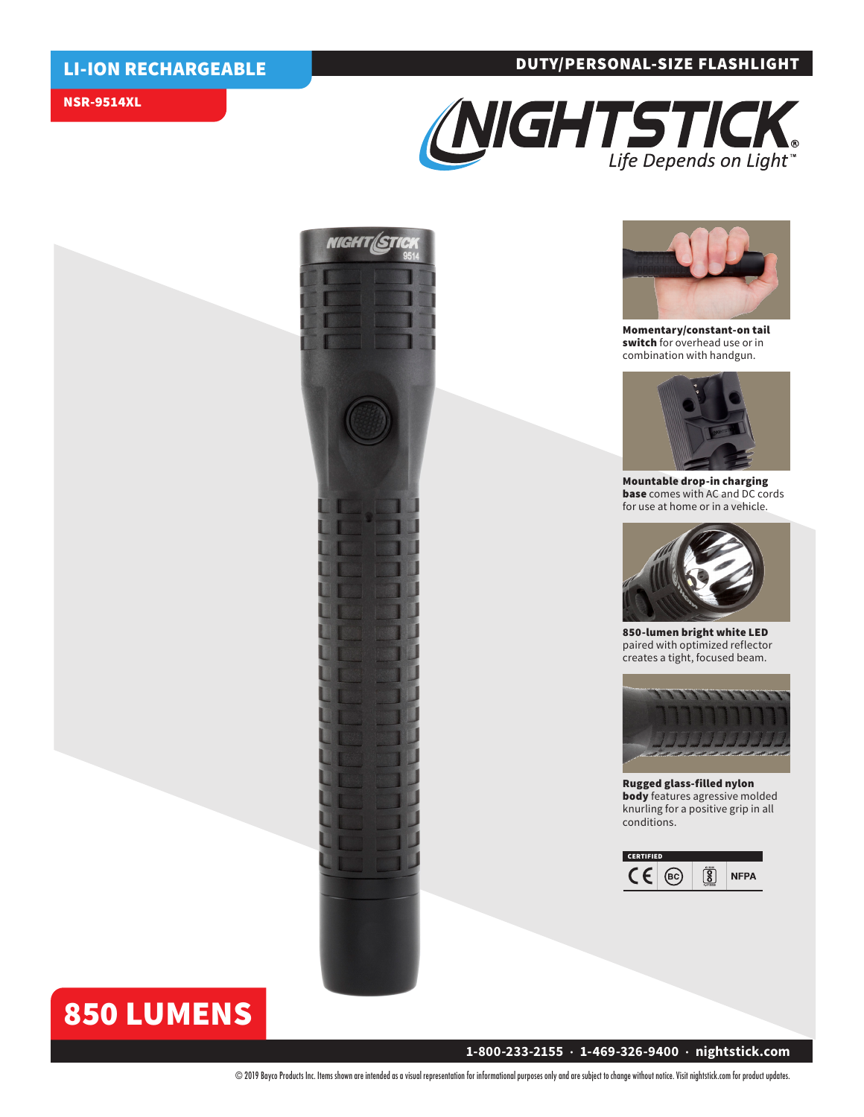### DUTY/PERSONAL-SIZE FLASHLIGHT

### LI-ION RECHARGEABLE

### NSR-9514XL







Momentary/constant-on tail switch for overhead use or in combination with handgun.



Mountable drop-in charging base comes with AC and DC cords for use at home or in a vehicle.



850-lumen bright white LED paired with optimized reflector creates a tight, focused beam.



Rugged glass-filled nylon body features agressive molded knurling for a positive grip in all conditions.



# 850 LUMENS

### **1-800-233-2155 • 1-469-326-9400 • nightstick.com**

© 2019 Bayco Products Inc. Items shown are intended as a visual representation for informational purposes only and are subject to change without notice. Visit nightstick.com for product updates.